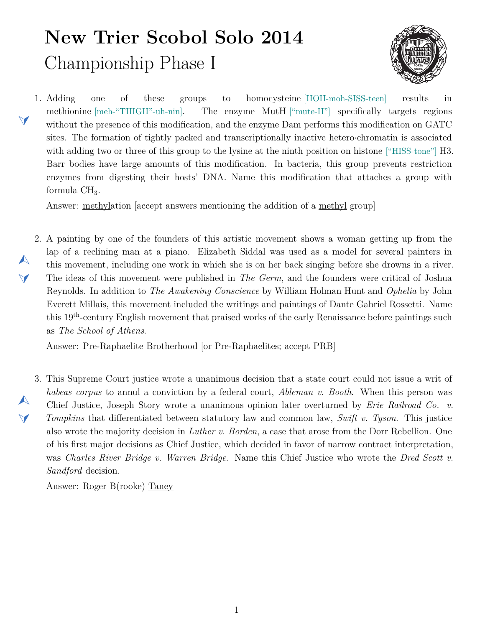## **New Trier Scobol Solo 2014** Championship Phase I



<span id="page-0-1"></span>1.  $\blacktriangleleft$ one of these groups to homocysteine [HOH-moh-SISS-teen] results in methionine [meh-"THIGH"-uh-nin]. The enzyme MutH ["mute-H"] specifically targets regions without the presence of this modification, and the enzyme Dam performs this modification on GATC sites. The formation of tightly packed and transcriptionally inactive hetero*·*chromatin is associated with adding two or three of this group to the lysine at the ninth position on histone ["HISS-tone"] H3. Barr bodies have large amounts of this modification. In bacteria, this group prevents restriction enzymes from digesting their hosts' DNA. Name this modification that attaches a group with formula  $CH<sub>3</sub>$ .

Answer: methylation [accept answers mentioning the addition of a methyl group]

<span id="page-0-0"></span>2. A painting by one of the founders of this artistic movement shows a woman getting up from the  $\blacktriangle$  $\blacktriangledown$ lap of a reclining man at a piano. Elizabeth Siddal was used as a model for several painters in this movement, including one work in which she is on her back singing before she drowns in a river. The ideas of this movement were published in *The Germ*, and the founders were critical of Joshua Reynolds. In addition to *The Awakening Conscience* by William Holman Hunt and *Ophelia* by John Everett Millais, this movement included the writings and paintings of Dante Gabriel Rossetti. Name this 19th-century English movement that praised works of the early Renaissance before paintings such as *The School of Athens*.

Answer: Pre-Raphaelite Brotherhood [or Pre-Raphaelites; accept PRB]

<span id="page-0-2"></span>3. This Supreme Court justice wrote a unanimous decision that a state court could not issue a writ of *habeas corpus* to annul a conviction by a federal court, *Ableman v. Booth*. When this person was Chief Justice, Joseph Story wrote a unanimous opinion later overturned by *Erie Railroad Co. v. Tompkins* that differentiated between statutory law and common law, *Swift v. Tyson*. This justice also wrote the majority decision in *Luther v. Borden*, a case that arose from the Dorr Rebellion. One of his first major decisions as Chief Justice, which decided in favor of narrow contract interpretation, was *Charles River Bridge v. Warren Bridge*. Name this Chief Justice who wrote the *Dred Scott v. Sandford* decision.

Answer: Roger B(rooke) Taney

 $\blacktriangle$ 

 $\blacktriangledown$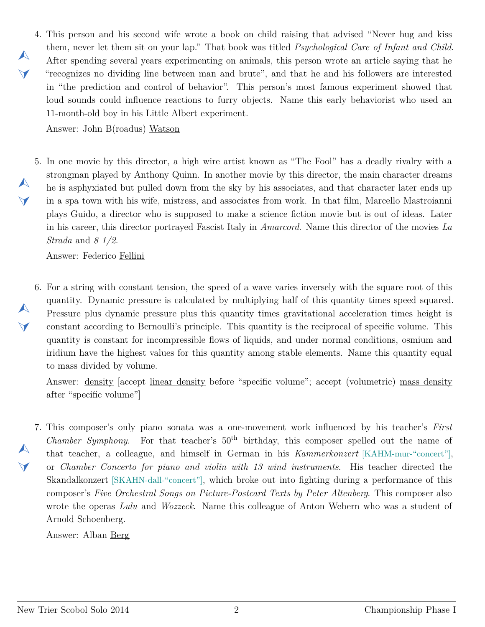<span id="page-1-0"></span>4. This person and his second wife wrote a book on child raising that advised "Never hug and kiss them, never let them sit on your lap." That book was titled *Psychological Care of Infant and Child*. After spending several years experimenting on animals, this person wrote an article saying that he "recognizes no dividing line between man and brute", and that he and his followers are interested in "the prediction and control of behavior". This person's most famous experiment showed that loud sounds could influence reactions to furry objects. Name this early behaviorist who used an 11-month-old boy in his Little Albert experiment.

Answer: John B(roadus) Watson

 $\blacktriangle$ 

 $\blacktriangleleft$ 

 $\blacktriangle$ 

 $\blacktriangleleft$ 

 $\blacktriangle$ 

 $\blacktriangledown$ 

<span id="page-1-1"></span>5. In one movie by this director, a high wire artist known as "The Fool" has a deadly rivalry with a strongman played by Anthony Quinn. In another movie by this director, the main character dreams he is asphyxiated but pulled down from the sky by his associates, and that character later ends up in a spa town with his wife, mistress, and associates from work. In that film, Marcello Mastroianni plays Guido, a director who is supposed to make a science fiction movie but is out of ideas. Later in his career, this director portrayed Fascist Italy in *Amarcord*. Name this director of the movies *La Strada* and *8 1/2*.

Answer: Federico Fellini

<span id="page-1-2"></span>6. For a string with constant tension, the speed of a wave varies inversely with the square root of this quantity. Dynamic pressure is calculated by multiplying half of this quantity times speed squared. Pressure plus dynamic pressure plus this quantity times gravitational acceleration times height is constant according to Bernoulli's principle. This quantity is the reciprocal of specific volume. This quantity is constant for incompressible flows of liquids, and under normal conditions, osmium and iridium have the highest values for this quantity among stable elements. Name this quantity equal to mass divided by volume.

Answer: density [accept linear density before "specific volume"; accept (volumetric) mass density after "specific volume"]

<span id="page-1-3"></span>7. This composer's only piano sonata was a one-movement work influenced by his teacher's *First*  $\blacktriangle$  $\blacktriangledown$ *Chamber Symphony.* For that teacher's 50<sup>th</sup> birthday, this composer spelled out the name of that teacher, a colleague, and himself in German in his *Kammerkonzert* [KAHM-mur-"concert"], or *Chamber Concerto for piano and violin with 13 wind instruments*. His teacher directed the Skandalkonzert [SKAHN-dall-"concert"], which broke out into fighting during a performance of this composer's *Five Orchestral Songs on Picture-Postcard Texts by Peter Altenberg*. This composer also wrote the operas *Lulu* and *Wozzeck*. Name this colleague of Anton Webern who was a student of Arnold Schoenberg.

Answer: Alban Berg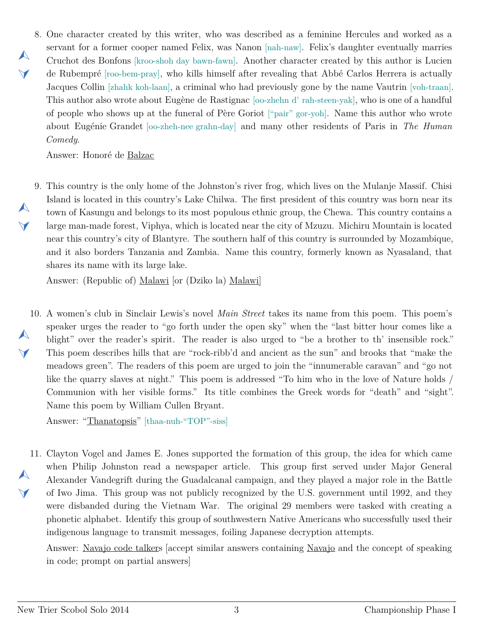<span id="page-2-0"></span>8. One character created by this writer, who was described as a feminine Hercules and worked as a servant for a former cooper named Felix, was Nanon [nah-naw]. Felix's daughter eventually marries Cruchot des Bonfons [kroo-shoh day bawn-fawn]. Another character created by this author is Lucien de Rubempré [roo-bem-pray], who kills himself after revealing that Abbé Carlos Herrera is actually Jacques Collin [zhahk koh-laan], a criminal who had previously gone by the name Vautrin [voh-traan]. This author also wrote about Eugène de Rastignac [oo-zhehn d' rah-steen-yak], who is one of a handful of people who shows up at the funeral of Père Goriot ["pair" gor-yoh]. Name this author who wrote about Eugénie Grandet [oo-zheh-nee grahn-day] and many other residents of Paris in *The Human Comedy*.

Answer: Honoré de Balzac

 $\blacktriangle$ 

 $\blacktriangledown$ 

 $\blacktriangle$ 

 $\blacktriangledown$ 

<span id="page-2-1"></span>9. This country is the only home of the Johnston's river frog, which lives on the Mulanje Massif. Chisi Island is located in this country's Lake Chilwa. The first president of this country was born near its town of Kasungu and belongs to its most populous ethnic group, the Chewa. This country contains a large man-made forest, Viphya, which is located near the city of Mzuzu. Michiru Mountain is located near this country's city of Blantyre. The southern half of this country is surrounded by Mozambique, and it also borders Tanzania and Zambia. Name this country, formerly known as Nyasaland, that shares its name with its large lake.

Answer: (Republic of) Malawi [or (Dziko la) Malawi]

<span id="page-2-2"></span>10. A women's club in Sinclair Lewis's novel *Main Street* takes its name from this poem. This poem's  $\blacktriangle$  $\vee$ speaker urges the reader to "go forth under the open sky" when the "last bitter hour comes like a blight" over the reader's spirit. The reader is also urged to "be a brother to th' insensible rock." This poem describes hills that are "rock-ribb'd and ancient as the sun" and brooks that "make the meadows green". The readers of this poem are urged to join the "innumerable caravan" and "go not like the quarry slaves at night." This poem is addressed "To him who in the love of Nature holds / Communion with her visible forms." Its title combines the Greek words for "death" and "sight". Name this poem by William Cullen Bryant.

Answer: "Thanatopsis" [thaa-nuh-"TOP"-siss]

<span id="page-2-3"></span>11. Clayton Vogel and James E. Jones supported the formation of this group, the idea for which came  $\blacktriangle$  $\blacktriangledown$ when Philip Johnston read a newspaper article. This group first served under Major General Alexander Vandegrift during the Guadalcanal campaign, and they played a major role in the Battle of Iwo Jima. This group was not publicly recognized by the U.S. government until 1992, and they were disbanded during the Vietnam War. The original 29 members were tasked with creating a phonetic alphabet. Identify this group of southwestern Native Americans who successfully used their indigenous language to transmit messages, foiling Japanese decryption attempts.

Answer: Navajo code talkers [accept similar answers containing Navajo and the concept of speaking in code; prompt on partial answers]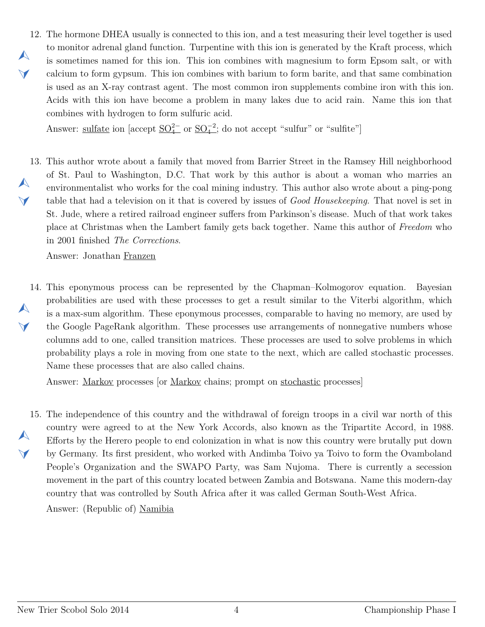<span id="page-3-0"></span>12. The hormone DHEA usually is connected to this ion, and a test measuring their level together is used  $\blacktriangle$  $\blacktriangledown$ to monitor adrenal gland function. Turpentine with this ion is generated by the Kraft process, which is sometimes named for this ion. This ion combines with magnesium to form Epsom salt, or with calcium to form gypsum. This ion combines with barium to form barite, and that same combination is used as an X-ray contrast agent. The most common iron supplements combine iron with this ion. Acids with this ion have become a problem in many lakes due to acid rain. Name this ion that combines with hydrogen to form sulfuric acid.

Answer: <u>sulfate</u> ion [accept  $\underline{SO_4^{2-}}$  or  $\underline{SO_4^{-2}}$ ; do not accept "sulfur" or "sulfite"]

<span id="page-3-1"></span>13. This author wrote about a family that moved from Barrier Street in the Ramsey Hill neighborhood  $\blacktriangle$  $\vee$ of St. Paul to Washington, D.C. That work by this author is about a woman who marries an environmentalist who works for the coal mining industry. This author also wrote about a ping-pong table that had a television on it that is covered by issues of *Good Housekeeping*. That novel is set in St. Jude, where a retired railroad engineer suffers from Parkinson's disease. Much of that work takes place at Christmas when the Lambert family gets back together. Name this author of *Freedom* who in 2001 finished *The Corrections*.

Answer: Jonathan Franzen

<span id="page-3-2"></span>14. This eponymous process can be represented by the Chapman–Kolmogorov equation. Bayesian  $\blacktriangle$  $\blacktriangledown$ probabilities are used with these processes to get a result similar to the Viterbi algorithm, which is a max-sum algorithm. These eponymous processes, comparable to having no memory, are used by the Google PageRank algorithm. These processes use arrangements of nonnegative numbers whose columns add to one, called transition matrices. These processes are used to solve problems in which probability plays a role in moving from one state to the next, which are called stochastic processes. Name these processes that are also called chains.

Answer: Markov processes [or Markov chains; prompt on stochastic processes]

<span id="page-3-3"></span>15. The independence of this country and the withdrawal of foreign troops in a civil war north of this  $\blacktriangle$  $\blacktriangledown$ country were agreed to at the New York Accords, also known as the Tripartite Accord, in 1988. Efforts by the Herero people to end colonization in what is now this country were brutally put down by Germany. Its first president, who worked with Andimba Toivo ya Toivo to form the Ovamboland People's Organization and the SWAPO Party, was Sam Nujoma. There is currently a secession movement in the part of this country located between Zambia and Botswana. Name this modern-day country that was controlled by South Africa after it was called German South-West Africa. Answer: (Republic of) Namibia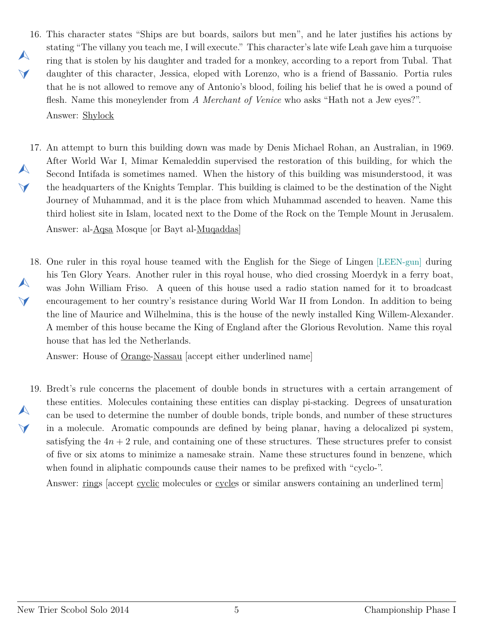- <span id="page-4-0"></span>16. This character states "Ships are but boards, sailors but men", and he later justifies his actions by  $\blacktriangle$  $\vee$ stating "The villany you teach me, I will execute." This character's late wife Leah gave him a turquoise ring that is stolen by his daughter and traded for a monkey, according to a report from Tubal. That daughter of this character, Jessica, eloped with Lorenzo, who is a friend of Bassanio. Portia rules that he is not allowed to remove any of Antonio's blood, foiling his belief that he is owed a pound of flesh. Name this moneylender from *A Merchant of Venice* who asks "Hath not a Jew eyes?". Answer: Shylock
- <span id="page-4-1"></span>17. An attempt to burn this building down was made by Denis Michael Rohan, an Australian, in 1969.  $\blacktriangle$  $\blacktriangledown$ After World War I, Mimar Kemaleddin supervised the restoration of this building, for which the Second Intifada is sometimes named. When the history of this building was misunderstood, it was the headquarters of the Knights Templar. This building is claimed to be the destination of the Night Journey of Muhammad, and it is the place from which Muhammad ascended to heaven. Name this third holiest site in Islam, located next to the Dome of the Rock on the Temple Mount in Jerusalem. Answer: al-Aqsa Mosque [or Bayt al-Muqaddas]
- <span id="page-4-2"></span>18. One ruler in this royal house teamed with the English for the Siege of Lingen [LEEN-gun] during  $\blacktriangle$  $\blacktriangleleft$ his Ten Glory Years. Another ruler in this royal house, who died crossing Moerdyk in a ferry boat, was John William Friso. A queen of this house used a radio station named for it to broadcast encouragement to her country's resistance during World War II from London. In addition to being the line of Maurice and Wilhelmina, this is the house of the newly installed King Willem-Alexander. A member of this house became the King of England after the Glorious Revolution. Name this royal house that has led the Netherlands.

Answer: House of Orange-Nassau [accept either underlined name]

<span id="page-4-3"></span>19. Bredt's rule concerns the placement of double bonds in structures with a certain arrangement of  $\blacktriangle$  $\vee$ these entities. Molecules containing these entities can display pi-stacking. Degrees of unsaturation can be used to determine the number of double bonds, triple bonds, and number of these structures in a molecule. Aromatic compounds are defined by being planar, having a delocalized pi system, satisfying the  $4n + 2$  rule, and containing one of these structures. These structures prefer to consist of five or six atoms to minimize a namesake strain. Name these structures found in benzene, which when found in aliphatic compounds cause their names to be prefixed with "cyclo-".

Answer: rings [accept cyclic molecules or cycles or similar answers containing an underlined term]